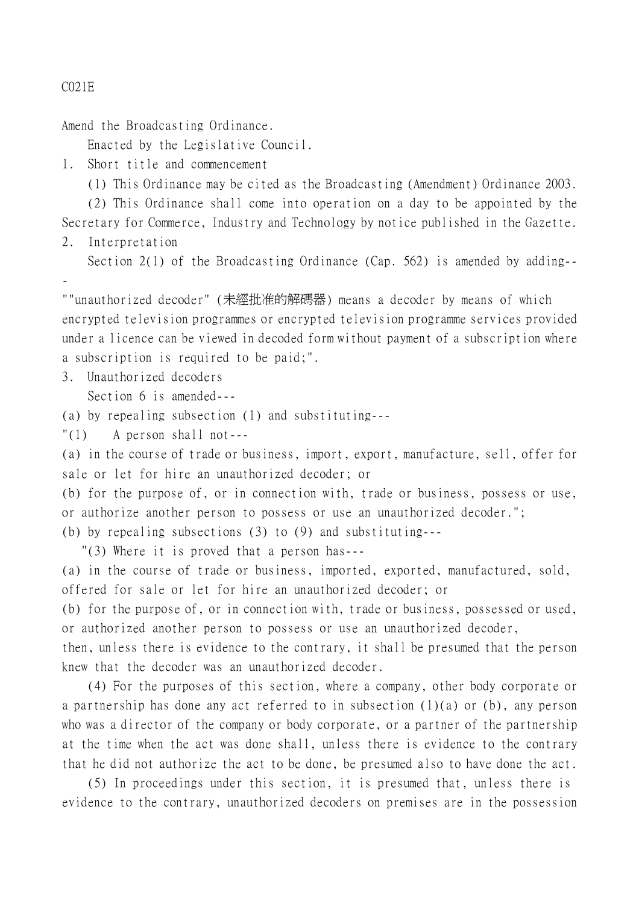## C021E

-

Amend the Broadcasting Ordinance.

Enacted by the Legislative Council.

1. Short title and commencement

(1) This Ordinance may be cited as the Broadcasting (Amendment) Ordinance 2003.

(2) This Ordinance shall come into operation on a day to be appointed by the Secretary for Commerce, Industry and Technology by notice published in the Gazette. 2. Interpretation

Section 2(1) of the Broadcasting Ordinance (Cap. 562) is amended by adding--

""unauthorized decoder" (未經批准的解碼器) means a decoder by means of which encrypted television programmes or encrypted television programme services provided under a licence can be viewed in decoded form without payment of a subscription where a subscription is required to be paid;".

3. Unauthorized decoders

Section 6 is amended---

(a) by repealing subsection (1) and substituting---

"(1) A person shall not---

(a) in the course of trade or business, import, export, manufacture, sell, offer for sale or let for hire an unauthorized decoder; or

(b) for the purpose of, or in connection with, trade or business, possess or use, or authorize another person to possess or use an unauthorized decoder.";

(b) by repealing subsections (3) to (9) and substituting---

"(3) Where it is proved that a person has---

(a) in the course of trade or business, imported, exported, manufactured, sold, offered for sale or let for hire an unauthorized decoder; or

(b) for the purpose of, or in connection with, trade or business, possessed or used, or authorized another person to possess or use an unauthorized decoder,

then, unless there is evidence to the contrary, it shall be presumed that the person knew that the decoder was an unauthorized decoder.

(4) For the purposes of this section, where a company, other body corporate or a partnership has done any act referred to in subsection (1)(a) or (b), any person who was a director of the company or body corporate, or a partner of the partnership at the time when the act was done shall, unless there is evidence to the contrary that he did not authorize the act to be done, be presumed also to have done the act.

(5) In proceedings under this section, it is presumed that, unless there is evidence to the contrary, unauthorized decoders on premises are in the possession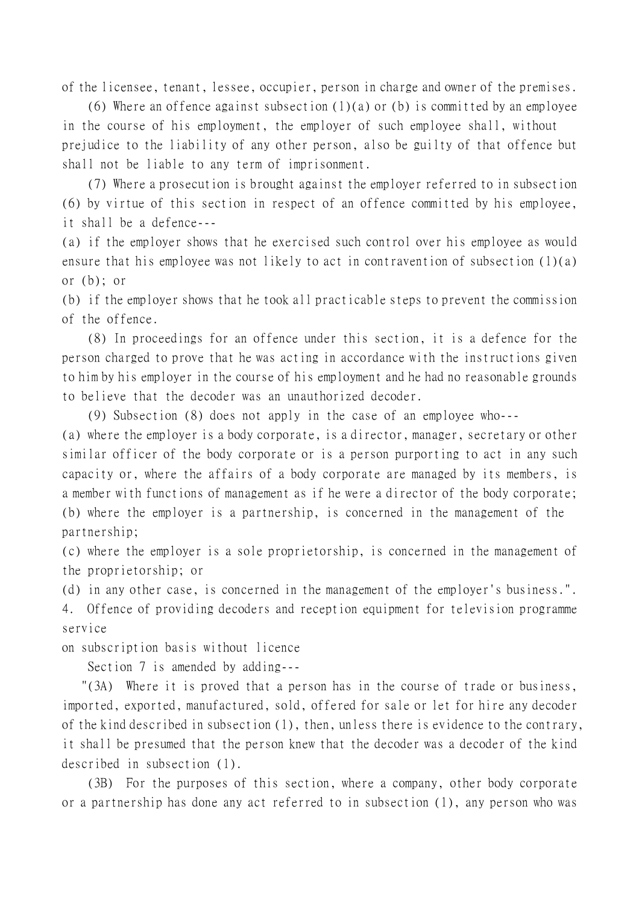of the licensee, tenant, lessee, occupier, person in charge and owner of the premises.

(6) Where an offence against subsection  $(1)(a)$  or (b) is committed by an employee in the course of his employment, the employer of such employee shall, without prejudice to the liability of any other person, also be guilty of that offence but shall not be liable to any term of imprisonment.

(7) Where a prosecution is brought against the employer referred to in subsection (6) by virtue of this section in respect of an offence committed by his employee, it shall be a defence---

(a) if the employer shows that he exercised such control over his employee as would ensure that his employee was not likely to act in contravention of subsection (1)(a) or (b); or

(b) if the employer shows that he took all practicable steps to prevent the commission of the offence.

(8) In proceedings for an offence under this section, it is a defence for the person charged to prove that he was acting in accordance with the instructions given to him by his employer in the course of his employment and he had no reasonable grounds to believe that the decoder was an unauthorized decoder.

(9) Subsection (8) does not apply in the case of an employee who---

(a) where the employer is a body corporate, is a director, manager, secretary or other similar officer of the body corporate or is a person purporting to act in any such capacity or, where the affairs of a body corporate are managed by its members, is a member with functions of management as if he were a director of the body corporate; (b) where the employer is a partnership, is concerned in the management of the partnership;

(c) where the employer is a sole proprietorship, is concerned in the management of the proprietorship; or

(d) in any other case, is concerned in the management of the employer's business.".

4. Offence of providing decoders and reception equipment for television programme service

on subscription basis without licence

Section 7 is amended by adding---

 "(3A) Where it is proved that a person has in the course of trade or business, imported, exported, manufactured, sold, offered for sale or let for hire any decoder of the kind described in subsection (1), then, unless there is evidence to the contrary, it shall be presumed that the person knew that the decoder was a decoder of the kind described in subsection (1).

(3B) For the purposes of this section, where a company, other body corporate or a partnership has done any act referred to in subsection (1), any person who was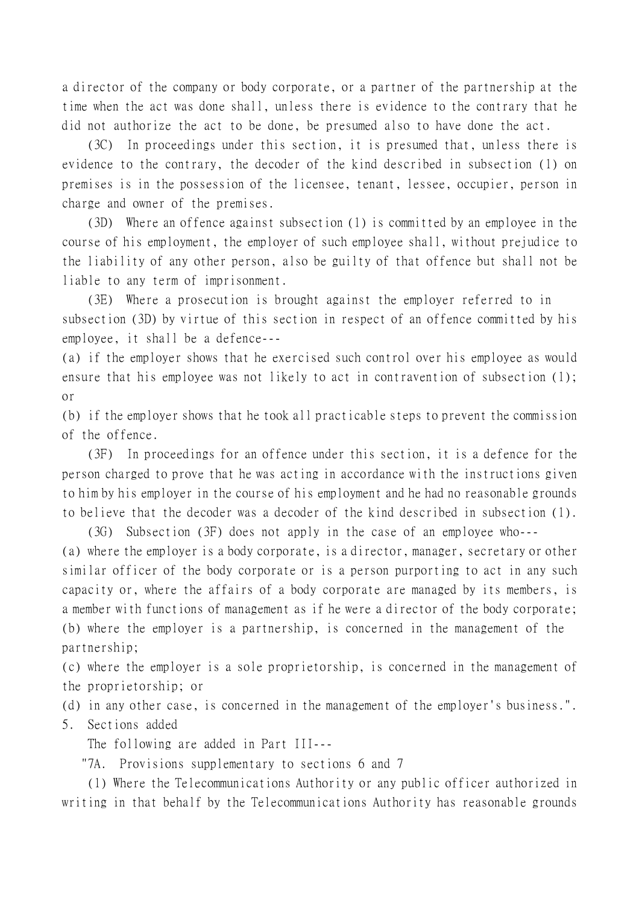a director of the company or body corporate, or a partner of the partnership at the time when the act was done shall, unless there is evidence to the contrary that he did not authorize the act to be done, be presumed also to have done the act.

(3C) In proceedings under this section, it is presumed that, unless there is evidence to the contrary, the decoder of the kind described in subsection (1) on premises is in the possession of the licensee, tenant, lessee, occupier, person in charge and owner of the premises.

(3D) Where an offence against subsection (1) is committed by an employee in the course of his employment, the employer of such employee shall, without prejudice to the liability of any other person, also be guilty of that offence but shall not be liable to any term of imprisonment.

(3E) Where a prosecution is brought against the employer referred to in subsection (3D) by virtue of this section in respect of an offence committed by his employee, it shall be a defence---

(a) if the employer shows that he exercised such control over his employee as would ensure that his employee was not likely to act in contravention of subsection (1); or

(b) if the employer shows that he took all practicable steps to prevent the commission of the offence.

(3F) In proceedings for an offence under this section, it is a defence for the person charged to prove that he was acting in accordance with the instructions given to him by his employer in the course of his employment and he had no reasonable grounds to believe that the decoder was a decoder of the kind described in subsection (1).

(3G) Subsection (3F) does not apply in the case of an employee who--- (a) where the employer is a body corporate, is a director, manager, secretary or other similar officer of the body corporate or is a person purporting to act in any such capacity or, where the affairs of a body corporate are managed by its members, is a member with functions of management as if he were a director of the body corporate; (b) where the employer is a partnership, is concerned in the management of the partnership;

(c) where the employer is a sole proprietorship, is concerned in the management of the proprietorship; or

(d) in any other case, is concerned in the management of the employer's business.".

5. Sections added

The following are added in Part III---

"7A. Provisions supplementary to sections 6 and 7

(1) Where the Telecommunications Authority or any public officer authorized in writing in that behalf by the Telecommunications Authority has reasonable grounds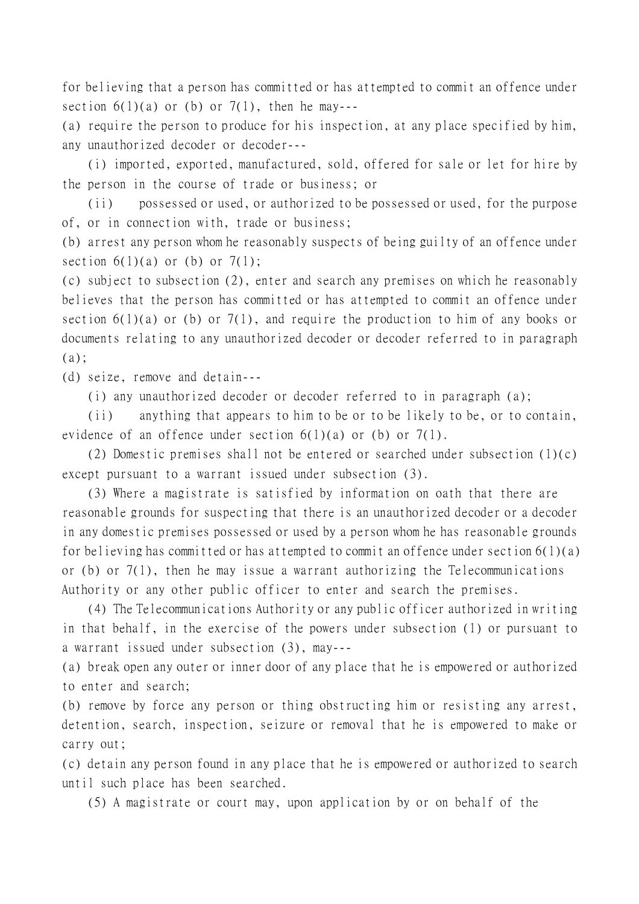for believing that a person has committed or has attempted to commit an offence under section  $6(1)(a)$  or (b) or  $7(1)$ , then he may---

(a) require the person to produce for his inspection, at any place specified by him, any unauthorized decoder or decoder---

(i) imported, exported, manufactured, sold, offered for sale or let for hire by the person in the course of trade or business; or

(ii) possessed or used, or authorized to be possessed or used, for the purpose of, or in connection with, trade or business;

(b) arrest any person whom he reasonably suspects of being guilty of an offence under section  $6(1)(a)$  or (b) or  $7(1)$ ;

(c) subject to subsection (2), enter and search any premises on which he reasonably believes that the person has committed or has attempted to commit an offence under section  $6(1)(a)$  or (b) or 7(1), and require the production to him of any books or documents relating to any unauthorized decoder or decoder referred to in paragraph  $(a)$ ;

(d) seize, remove and detain---

(i) any unauthorized decoder or decoder referred to in paragraph (a);

(ii) anything that appears to him to be or to be likely to be, or to contain, evidence of an offence under section  $6(1)(a)$  or (b) or  $7(1)$ .

(2) Domestic premises shall not be entered or searched under subsection (1)(c) except pursuant to a warrant issued under subsection (3).

(3) Where a magistrate is satisfied by information on oath that there are reasonable grounds for suspecting that there is an unauthorized decoder or a decoder in any domestic premises possessed or used by a person whom he has reasonable grounds for believing has committed or has attempted to commit an offence under section  $6(1)(a)$ or (b) or 7(1), then he may issue a warrant authorizing the Telecommunications Authority or any other public officer to enter and search the premises.

(4) The Telecommunications Authority or any public officer authorized in writing in that behalf, in the exercise of the powers under subsection (1) or pursuant to a warrant issued under subsection (3), may---

(a) break open any outer or inner door of any place that he is empowered or authorized to enter and search;

(b) remove by force any person or thing obstructing him or resisting any arrest, detention, search, inspection, seizure or removal that he is empowered to make or carry out;

(c) detain any person found in any place that he is empowered or authorized to search until such place has been searched.

(5) A magistrate or court may, upon application by or on behalf of the